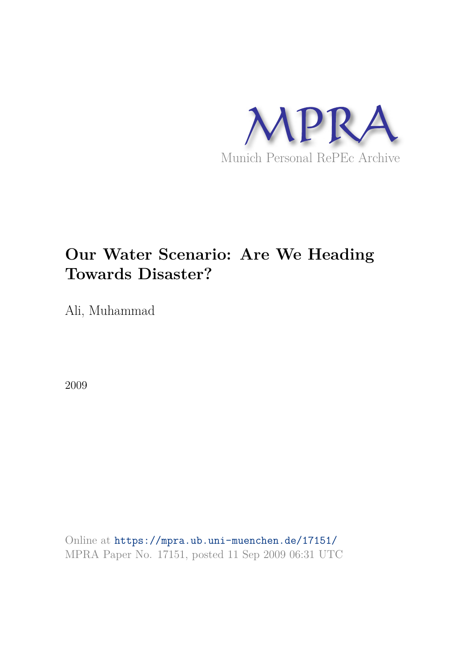

# **Our Water Scenario: Are We Heading Towards Disaster?**

Ali, Muhammad

2009

Online at https://mpra.ub.uni-muenchen.de/17151/ MPRA Paper No. 17151, posted 11 Sep 2009 06:31 UTC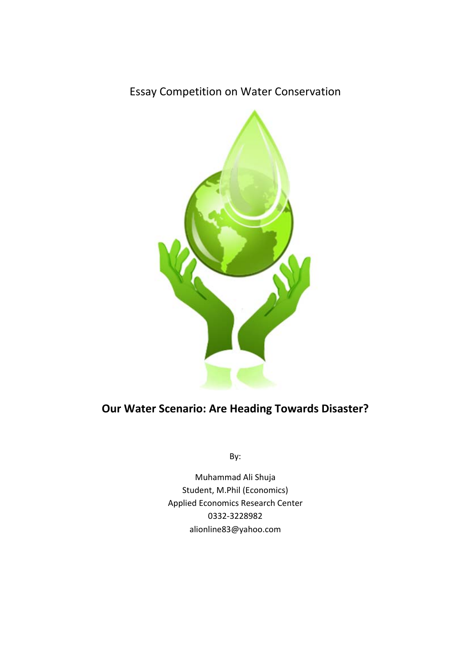# Essay Competition on Water Conservation



# **Our Water Scenario: Are Heading Towards Disaster?**

By:

Muhammad Ali Shuja Student, M.Phil (Economics) Applied Economics Research Center 0332‐3228982 alionline83@yahoo.com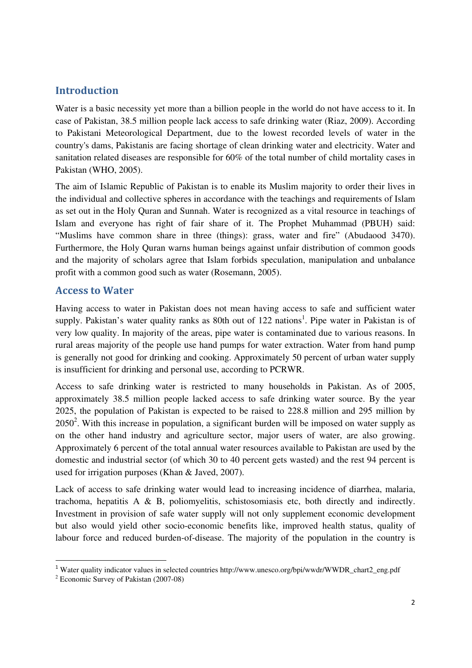### **Introduction**

Water is a basic necessity yet more than a billion people in the world do not have access to it. In case of Pakistan, 38.5 million people lack access to safe drinking water (Riaz, 2009). According to Pakistani Meteorological Department, due to the lowest recorded levels of water in the country's dams, Pakistanis are facing shortage of clean drinking water and electricity. Water and sanitation related diseases are responsible for 60% of the total number of child mortality cases in Pakistan (WHO, 2005).

The aim of Islamic Republic of Pakistan is to enable its Muslim majority to order their lives in the individual and collective spheres in accordance with the teachings and requirements of Islam as set out in the Holy Quran and Sunnah. Water is recognized as a vital resource in teachings of Islam and everyone has right of fair share of it. The Prophet Muhammad (PBUH) said: "Muslims have common share in three (things): grass, water and fire" (Abudaood 3470). Furthermore, the Holy Quran warns human beings against unfair distribution of common goods and the majority of scholars agree that Islam forbids speculation, manipulation and unbalance profit with a common good such as water (Rosemann, 2005).

#### **Access to Water**

Having access to water in Pakistan does not mean having access to safe and sufficient water supply. Pakistan's water quality ranks as 80th out of 122 nations<sup>1</sup>. Pipe water in Pakistan is of very low quality. In majority of the areas, pipe water is contaminated due to various reasons. In rural areas majority of the people use hand pumps for water extraction. Water from hand pump is generally not good for drinking and cooking. Approximately 50 percent of urban water supply is insufficient for drinking and personal use, according to PCRWR.

Access to safe drinking water is restricted to many households in Pakistan. As of 2005, approximately 38.5 million people lacked access to safe drinking water source. By the year 2025, the population of Pakistan is expected to be raised to 228.8 million and 295 million by  $2050<sup>2</sup>$ . With this increase in population, a significant burden will be imposed on water supply as on the other hand industry and agriculture sector, major users of water, are also growing. Approximately 6 percent of the total annual water resources available to Pakistan are used by the domestic and industrial sector (of which 30 to 40 percent gets wasted) and the rest 94 percent is used for irrigation purposes (Khan & Javed, 2007).

Lack of access to safe drinking water would lead to increasing incidence of diarrhea, malaria, trachoma, hepatitis A & B, poliomyelitis, schistosomiasis etc, both directly and indirectly. Investment in provision of safe water supply will not only supplement economic development but also would yield other socio-economic benefits like, improved health status, quality of labour force and reduced burden-of-disease. The majority of the population in the country is

<sup>1</sup> Water quality indicator values in selected countries http://www.unesco.org/bpi/wwdr/WWDR\_chart2\_eng.pdf

<sup>&</sup>lt;sup>2</sup> Economic Survey of Pakistan (2007-08)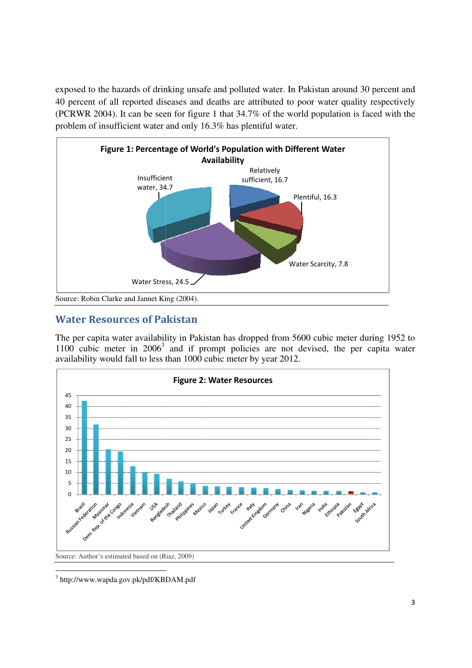exposed to the hazards of drinking unsafe and polluted water. In Pakistan around 30 percent and 40 percent of all reported diseases and deaths are attributed to poor water quality respectively (PCRWR 2004). It can be seen for figure 1 that 34.7% of the world population is faced with the problem of insufficient water and only 16.3% has plentiful water.



# **Water Resources of Pakistan**

The per capita water availability in Pakistan has dropped from 5600 cubic meter during 1952 to 1100 cubic meter in  $2006<sup>3</sup>$  and if prompt policies are not devised, the per capita water availability would fall to less than 1000 cubic meter by year 2012.



<sup>3</sup> http://www.wapda.gov.pk/pdf/KBDAM.pdf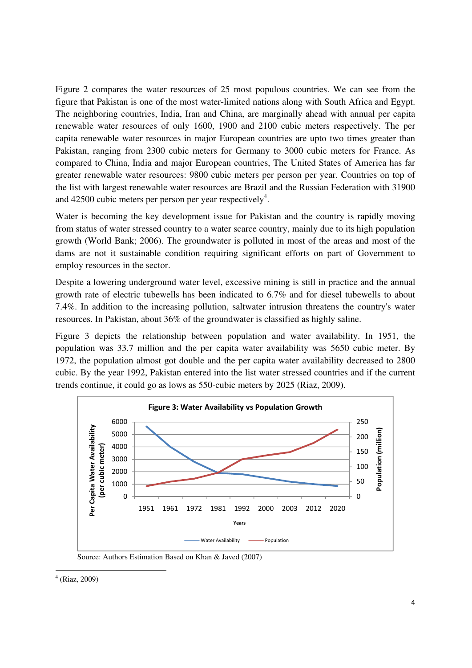Figure 2 compares the water resources of 25 most populous countries. We can see from the figure that Pakistan is one of the most water-limited nations along with South Africa and Egypt. The neighboring countries, India, Iran and China, are marginally ahead with annual per capita renewable water resources of only 1600, 1900 and 2100 cubic meters respectively. The per capita renewable water resources in major European countries are upto two times greater than Pakistan, ranging from 2300 cubic meters for Germany to 3000 cubic meters for France. As compared to China, India and major European countries, The United States of America has far greater renewable water resources: 9800 cubic meters per person per year. Countries on top of the list with largest renewable water resources are Brazil and the Russian Federation with 31900 and 42500 cubic meters per person per year respectively<sup>4</sup>.

Water is becoming the key development issue for Pakistan and the country is rapidly moving from status of water stressed country to a water scarce country, mainly due to its high population growth (World Bank; 2006). The groundwater is polluted in most of the areas and most of the dams are not it sustainable condition requiring significant efforts on part of Government to employ resources in the sector.

Despite a lowering underground water level, excessive mining is still in practice and the annual growth rate of electric tubewells has been indicated to 6.7% and for diesel tubewells to about 7.4%. In addition to the increasing pollution, saltwater intrusion threatens the country's water resources. In Pakistan, about 36% of the groundwater is classified as highly saline.

Figure 3 depicts the relationship between population and water availability. In 1951, the population was 33.7 million and the per capita water availability was 5650 cubic meter. By 1972, the population almost got double and the per capita water availability decreased to 2800 cubic. By the year 1992, Pakistan entered into the list water stressed countries and if the current trends continue, it could go as lows as 550-cubic meters by 2025 (Riaz, 2009).



4 (Riaz, 2009)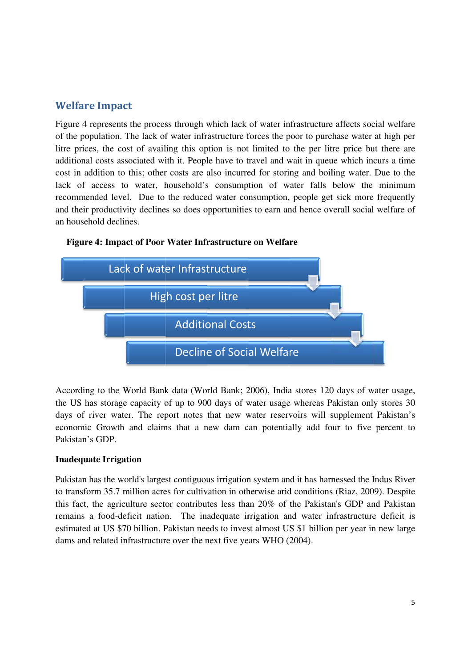## **Welfare Impact**

Figure 4 represents the process through which lack of water infrastructure affects social welfare of the population. The lack of water infrastructure forces the poor to purchase water at high per litre prices, the cost of availing this option is not limited to the per litre price but there are additional costs associated with it. People have to travel and wait in queue which incurs a time cost in addition to this; other costs are also incurred for storing and boiling water. Due to the lack of access to water, household's consumption of water falls below the minimum recommended level. Due to the reduced water consumption, people get sick more frequently and their productivity declines so does opportunities to earn and hence overall social welfare of an household declines.



#### Figure 4: Impact of Poor Water Infrastructure on Welfare

According to the World Bank data (World Bank; 2006), India stores 120 days of water usage, the US has storage capacity of up to 900 days of water usage whereas Pakistan only stores 30 days of river water. The report notes that new water reservoirs will supplement Pakistan's economic Growth and claims that a new dam can potentially add four to five percent to Pakistan's GDP

#### **Inadequate Irrigation**

Pakistan has the world's largest contiguous irrigation system and it has harnessed the Indus River to transform 35.7 million acres for cultivation in otherwise arid conditions (Riaz, 2009). Despite this fact, the agriculture sector contributes less than 20% of the Pakistan's GDP and Pakistan remains a food-deficit nation. The inadequate irrigation and water infrastructure deficit is estimated at US \$70 billion. Pakistan needs to invest almost US \$1 billion per year in new large dams and related infrastructure over the next five years WHO (2004).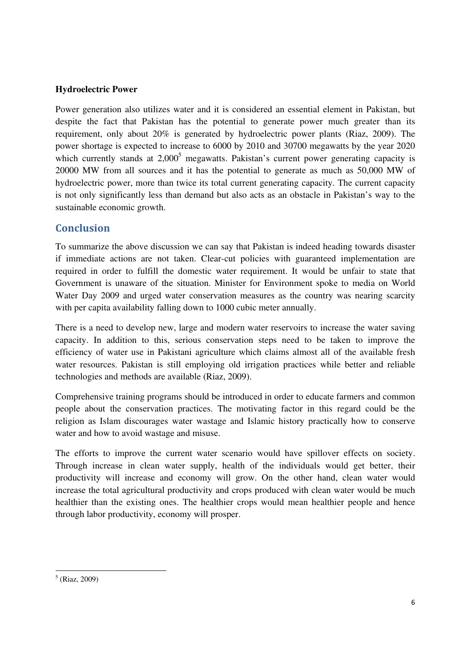#### **Hydroelectric Power**

Power generation also utilizes water and it is considered an essential element in Pakistan, but despite the fact that Pakistan has the potential to generate power much greater than its requirement, only about 20% is generated by hydroelectric power plants (Riaz, 2009). The power shortage is expected to increase to 6000 by 2010 and 30700 megawatts by the year 2020 which currently stands at  $2,000^5$  megawatts. Pakistan's current power generating capacity is 20000 MW from all sources and it has the potential to generate as much as 50,000 MW of hydroelectric power, more than twice its total current generating capacity. The current capacity is not only significantly less than demand but also acts as an obstacle in Pakistan's way to the sustainable economic growth.

### **Conclusion**

To summarize the above discussion we can say that Pakistan is indeed heading towards disaster if immediate actions are not taken. Clear-cut policies with guaranteed implementation are required in order to fulfill the domestic water requirement. It would be unfair to state that Government is unaware of the situation. Minister for Environment spoke to media on World Water Day 2009 and urged water conservation measures as the country was nearing scarcity with per capita availability falling down to 1000 cubic meter annually.

There is a need to develop new, large and modern water reservoirs to increase the water saving capacity. In addition to this, serious conservation steps need to be taken to improve the efficiency of water use in Pakistani agriculture which claims almost all of the available fresh water resources. Pakistan is still employing old irrigation practices while better and reliable technologies and methods are available (Riaz, 2009).

Comprehensive training programs should be introduced in order to educate farmers and common people about the conservation practices. The motivating factor in this regard could be the religion as Islam discourages water wastage and Islamic history practically how to conserve water and how to avoid wastage and misuse.

The efforts to improve the current water scenario would have spillover effects on society. Through increase in clean water supply, health of the individuals would get better, their productivity will increase and economy will grow. On the other hand, clean water would increase the total agricultural productivity and crops produced with clean water would be much healthier than the existing ones. The healthier crops would mean healthier people and hence through labor productivity, economy will prosper.

<sup>5</sup> (Riaz, 2009)